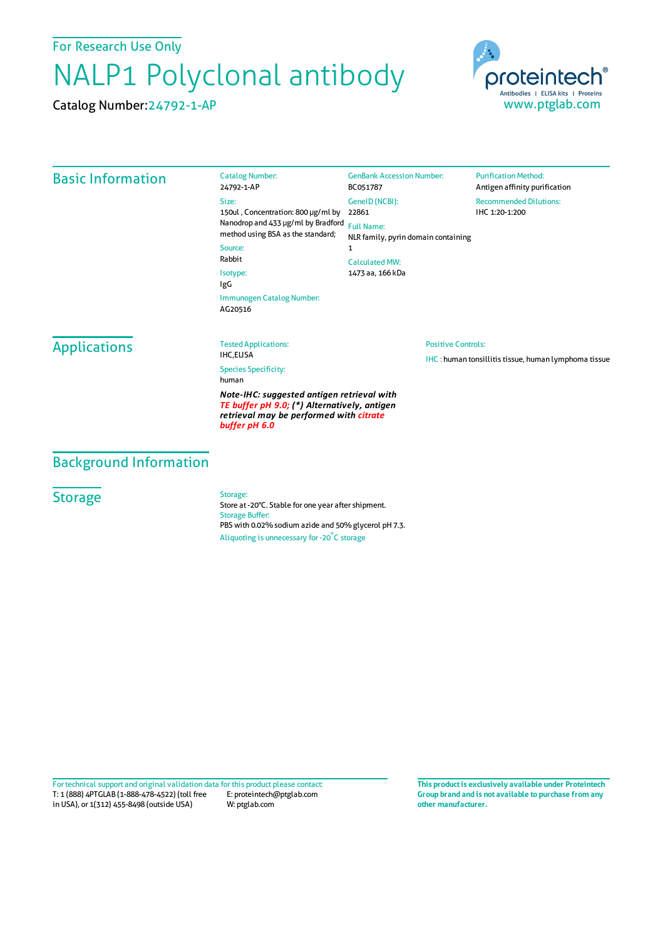For Research Use Only

## NALP1 Polyclonal antibody

Catalog Number:24792-1-AP



| <b>Basic Information</b>                                                                                                                               | <b>Catalog Number:</b><br>24792-1-AP                                                                            | <b>GenBank Accession Number:</b><br>BC051787                                                               | <b>Purification Method:</b><br>Antigen affinity purification |                                      |                             |                           |                                                              |
|--------------------------------------------------------------------------------------------------------------------------------------------------------|-----------------------------------------------------------------------------------------------------------------|------------------------------------------------------------------------------------------------------------|--------------------------------------------------------------|--------------------------------------|-----------------------------|---------------------------|--------------------------------------------------------------|
|                                                                                                                                                        | Size:<br>150ul, Concentration: 800 µg/ml by                                                                     | GenelD (NCBI):<br>22861                                                                                    | <b>Recommended Dilutions:</b><br>IHC 1:20-1:200              |                                      |                             |                           |                                                              |
|                                                                                                                                                        | Nanodrop and 433 µg/ml by Bradford<br>method using BSA as the standard;<br>Source:<br>Rabbit<br>Isotype:<br>IgG | <b>Full Name:</b><br>NLR family, pyrin domain containing<br>1<br><b>Calculated MW:</b><br>1473 aa, 166 kDa |                                                              |                                      |                             |                           |                                                              |
|                                                                                                                                                        |                                                                                                                 |                                                                                                            |                                                              | Immunogen Catalog Number:<br>AG20516 |                             |                           |                                                              |
|                                                                                                                                                        |                                                                                                                 |                                                                                                            |                                                              | <b>Applications</b>                  | <b>Tested Applications:</b> | <b>Positive Controls:</b> |                                                              |
|                                                                                                                                                        |                                                                                                                 |                                                                                                            |                                                              |                                      | <b>IHC,ELISA</b>            |                           | <b>IHC</b> : human tonsillitis tissue, human lymphoma tissue |
|                                                                                                                                                        | <b>Species Specificity:</b><br>human                                                                            |                                                                                                            |                                                              |                                      |                             |                           |                                                              |
| Note-IHC: suggested antigen retrieval with<br>TE buffer pH 9.0; (*) Alternatively, antigen<br>retrieval may be performed with citrate<br>buffer pH 6.0 |                                                                                                                 |                                                                                                            |                                                              |                                      |                             |                           |                                                              |

Background Information

## **Storage**

Storage:

Store at -20°C. Stable for one year after shipment. Storage Buffer: PBS with 0.02% sodium azide and 50% glycerol pH 7.3. Aliquoting is unnecessary for -20<sup>°</sup>C storage

T: 1 (888) 4PTGLAB (1-888-478-4522) (toll free in USA), or 1(312) 455-8498 (outside USA) E: proteintech@ptglab.com W: ptglab.com Fortechnical support and original validation data forthis product please contact: **This productis exclusively available under Proteintech**

**Group brand and is not available to purchase from any other manufacturer.**